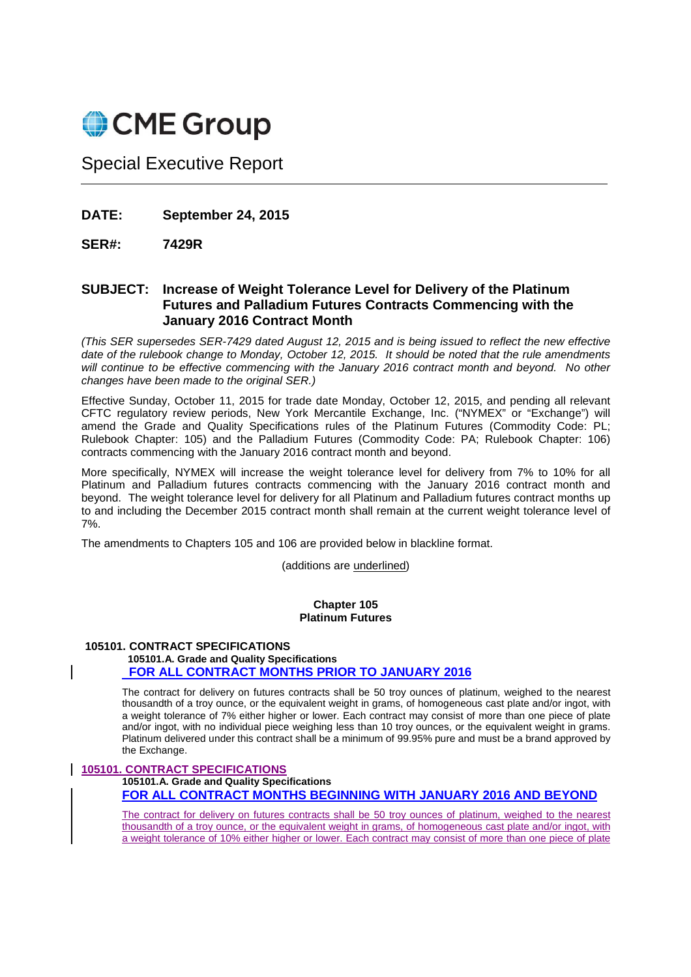

Special Executive Report

**DATE: September 24, 2015** 

# **SER#: 7429R**

# **SUBJECT: Increase of Weight Tolerance Level for Delivery of the Platinum Futures and Palladium Futures Contracts Commencing with the January 2016 Contract Month**

(This SER supersedes SER-7429 dated August 12, 2015 and is being issued to reflect the new effective date of the rulebook change to Monday, October 12, 2015. It should be noted that the rule amendments will continue to be effective commencing with the January 2016 contract month and beyond. No other changes have been made to the original SER.)

Effective Sunday, October 11, 2015 for trade date Monday, October 12, 2015, and pending all relevant CFTC regulatory review periods, New York Mercantile Exchange, Inc. ("NYMEX" or "Exchange") will amend the Grade and Quality Specifications rules of the Platinum Futures (Commodity Code: PL; Rulebook Chapter: 105) and the Palladium Futures (Commodity Code: PA; Rulebook Chapter: 106) contracts commencing with the January 2016 contract month and beyond.

More specifically, NYMEX will increase the weight tolerance level for delivery from 7% to 10% for all Platinum and Palladium futures contracts commencing with the January 2016 contract month and beyond. The weight tolerance level for delivery for all Platinum and Palladium futures contract months up to and including the December 2015 contract month shall remain at the current weight tolerance level of 7%.

The amendments to Chapters 105 and 106 are provided below in blackline format.

(additions are underlined)

#### **Chapter 105 Platinum Futures**

### **105101. CONTRACT SPECIFICATIONS**

# **105101.A. Grade and Quality Specifications FOR ALL CONTRACT MONTHS PRIOR TO JANUARY 2016**

The contract for delivery on futures contracts shall be 50 troy ounces of platinum, weighed to the nearest thousandth of a troy ounce, or the equivalent weight in grams, of homogeneous cast plate and/or ingot, with a weight tolerance of 7% either higher or lower. Each contract may consist of more than one piece of plate and/or ingot, with no individual piece weighing less than 10 troy ounces, or the equivalent weight in grams. Platinum delivered under this contract shall be a minimum of 99.95% pure and must be a brand approved by the Exchange.

## **105101. CONTRACT SPECIFICATIONS**

**105101.A. Grade and Quality Specifications FOR ALL CONTRACT MONTHS BEGINNING WITH JANUARY 2016 AND BEYOND**

The contract for delivery on futures contracts shall be 50 troy ounces of platinum, weighed to the nearest thousandth of a troy ounce, or the equivalent weight in grams, of homogeneous cast plate and/or ingot, with a weight tolerance of 10% either higher or lower. Each contract may consist of more than one piece of plate